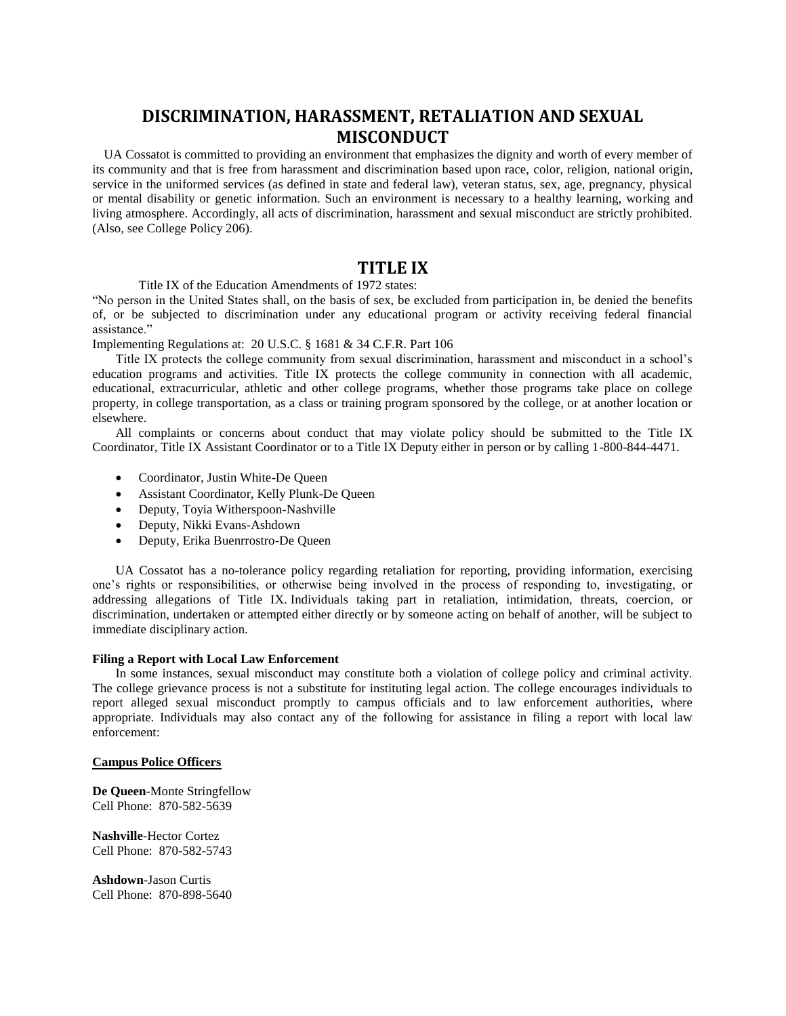# **DISCRIMINATION, HARASSMENT, RETALIATION AND SEXUAL MISCONDUCT**

UA Cossatot is committed to providing an environment that emphasizes the dignity and worth of every member of its community and that is free from harassment and discrimination based upon race, color, religion, national origin, service in the uniformed services (as defined in state and federal law), veteran status, sex, age, pregnancy, physical or mental disability or genetic information. Such an environment is necessary to a healthy learning, working and living atmosphere. Accordingly, all acts of discrimination, harassment and sexual misconduct are strictly prohibited. (Also, see College Policy 206).

# **TITLE IX**

Title IX of the Education Amendments of 1972 states:

"No person in the United States shall, on the basis of sex, be excluded from participation in, be denied the benefits of, or be subjected to discrimination under any educational program or activity receiving federal financial assistance."

Implementing Regulations at: 20 U.S.C. § 1681 & 34 C.F.R. Part 106

Title IX protects the college community from sexual discrimination, harassment and misconduct in a school's education programs and activities. Title IX protects the college community in connection with all academic, educational, extracurricular, athletic and other college programs, whether those programs take place on college property, in college transportation, as a class or training program sponsored by the college, or at another location or elsewhere.

All complaints or concerns about conduct that may violate policy should be submitted to the Title IX Coordinator, Title IX Assistant Coordinator or to a Title IX Deputy either in person or by calling 1-800-844-4471.

- Coordinator, Justin White-De Queen
- Assistant Coordinator, Kelly Plunk-De Queen
- Deputy, Toyia Witherspoon-Nashville
- Deputy, Nikki Evans-Ashdown
- Deputy, Erika Buenrrostro-De Queen

UA Cossatot has a no-tolerance policy regarding retaliation for reporting, providing information, exercising one's rights or responsibilities, or otherwise being involved in the process of responding to, investigating, or addressing allegations of Title IX. Individuals taking part in retaliation, intimidation, threats, coercion, or discrimination, undertaken or attempted either directly or by someone acting on behalf of another, will be subject to immediate disciplinary action.

### **Filing a Report with Local Law Enforcement**

In some instances, sexual misconduct may constitute both a violation of college policy and criminal activity. The college grievance process is not a substitute for instituting legal action. The college encourages individuals to report alleged sexual misconduct promptly to campus officials and to law enforcement authorities, where appropriate. Individuals may also contact any of the following for assistance in filing a report with local law enforcement:

# **Campus Police Officers**

**De Queen**-Monte Stringfellow Cell Phone: 870-582-5639

**Nashville**-Hector Cortez Cell Phone: 870-582-5743

**Ashdown**-Jason Curtis Cell Phone: 870-898-5640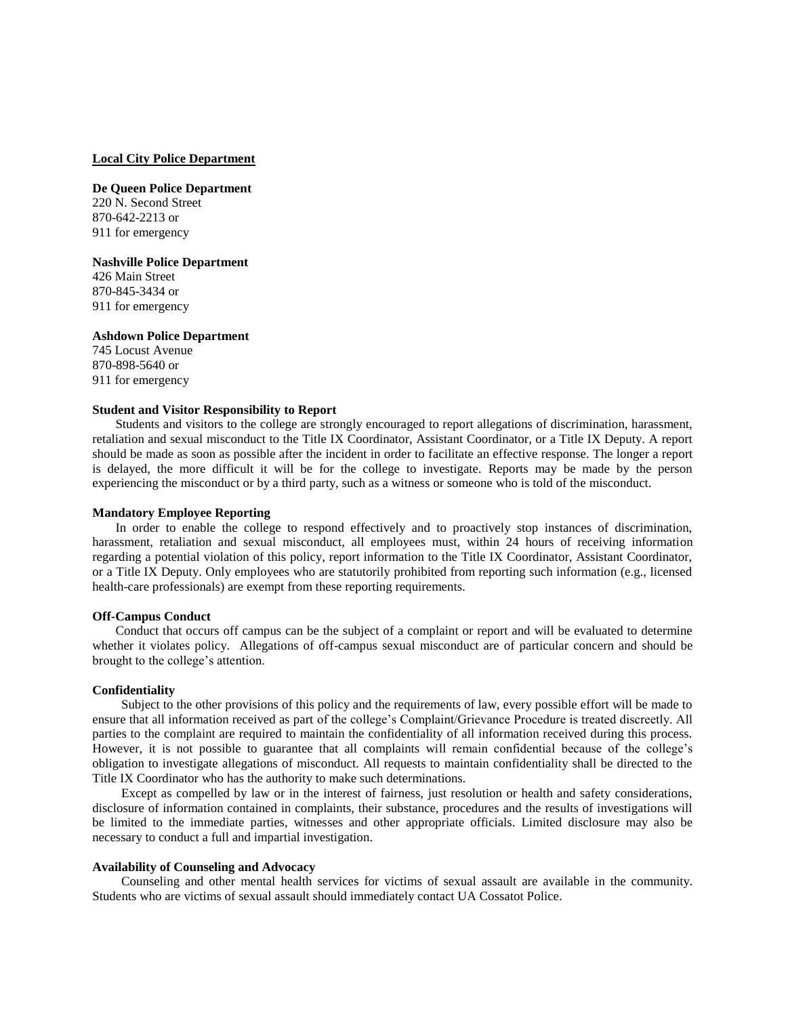#### **Local City Police Department**

**De Queen Police Department** 220 N. Second Street 870-642-2213 or 911 for emergency

# **Nashville Police Department**

426 Main Street 870-845-3434 or 911 for emergency

#### **Ashdown Police Department**

745 Locust Avenue 870-898-5640 or 911 for emergency

#### **Student and Visitor Responsibility to Report**

Students and visitors to the college are strongly encouraged to report allegations of discrimination, harassment, retaliation and sexual misconduct to the Title IX Coordinator, Assistant Coordinator, or a Title IX Deputy. A report should be made as soon as possible after the incident in order to facilitate an effective response. The longer a report is delayed, the more difficult it will be for the college to investigate. Reports may be made by the person experiencing the misconduct or by a third party, such as a witness or someone who is told of the misconduct.

### **Mandatory Employee Reporting**

In order to enable the college to respond effectively and to proactively stop instances of discrimination, harassment, retaliation and sexual misconduct, all employees must, within 24 hours of receiving information regarding a potential violation of this policy, report information to the Title IX Coordinator, Assistant Coordinator, or a Title IX Deputy. Only employees who are statutorily prohibited from reporting such information (e.g., licensed health-care professionals) are exempt from these reporting requirements.

#### **Off-Campus Conduct**

Conduct that occurs off campus can be the subject of a complaint or report and will be evaluated to determine whether it violates policy. Allegations of off-campus sexual misconduct are of particular concern and should be brought to the college's attention.

#### **Confidentiality**

Subject to the other provisions of this policy and the requirements of law, every possible effort will be made to ensure that all information received as part of the college's Complaint/Grievance Procedure is treated discreetly. All parties to the complaint are required to maintain the confidentiality of all information received during this process. However, it is not possible to guarantee that all complaints will remain confidential because of the college's obligation to investigate allegations of misconduct. All requests to maintain confidentiality shall be directed to the Title IX Coordinator who has the authority to make such determinations.

Except as compelled by law or in the interest of fairness, just resolution or health and safety considerations, disclosure of information contained in complaints, their substance, procedures and the results of investigations will be limited to the immediate parties, witnesses and other appropriate officials. Limited disclosure may also be necessary to conduct a full and impartial investigation.

### **Availability of Counseling and Advocacy**

Counseling and other mental health services for victims of sexual assault are available in the community. Students who are victims of sexual assault should immediately contact UA Cossatot Police.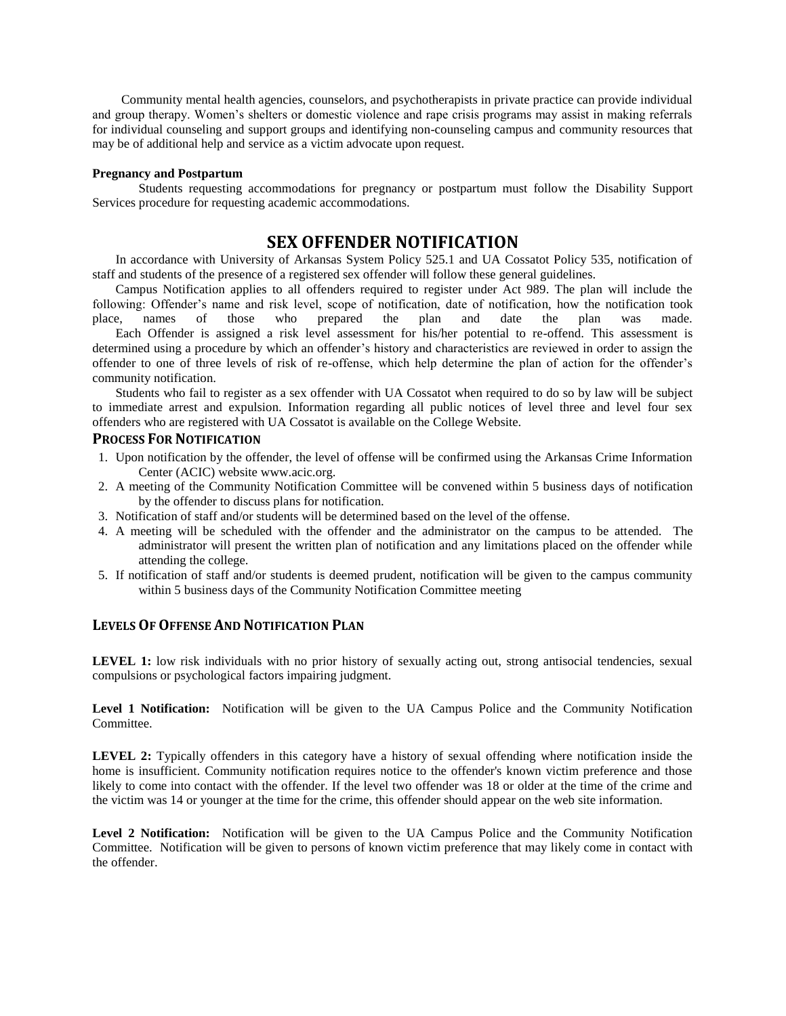Community mental health agencies, counselors, and psychotherapists in private practice can provide individual and group therapy. Women's shelters or domestic violence and rape crisis programs may assist in making referrals for individual counseling and support groups and identifying non-counseling campus and community resources that may be of additional help and service as a victim advocate upon request.

#### **Pregnancy and Postpartum**

Students requesting accommodations for pregnancy or postpartum must follow the Disability Support Services procedure for requesting academic accommodations.

# **SEX OFFENDER NOTIFICATION**

In accordance with University of Arkansas System Policy 525.1 and UA Cossatot Policy 535, notification of staff and students of the presence of a registered sex offender will follow these general guidelines.

Campus Notification applies to all offenders required to register under Act 989. The plan will include the following: Offender's name and risk level, scope of notification, date of notification, how the notification took place, names of those who prepared the plan and date the plan was made. place, names of those who prepared the plan and date the plan was made.

Each Offender is assigned a risk level assessment for his/her potential to re-offend. This assessment is determined using a procedure by which an offender's history and characteristics are reviewed in order to assign the offender to one of three levels of risk of re-offense, which help determine the plan of action for the offender's community notification.

Students who fail to register as a sex offender with UA Cossatot when required to do so by law will be subject to immediate arrest and expulsion. Information regarding all public notices of level three and level four sex offenders who are registered with UA Cossatot is available on the College Website.

# **PROCESS FOR NOTIFICATION**

- 1. Upon notification by the offender, the level of offense will be confirmed using the Arkansas Crime Information Center (ACIC) website www.acic.org.
- 2. A meeting of the Community Notification Committee will be convened within 5 business days of notification by the offender to discuss plans for notification.
- 3. Notification of staff and/or students will be determined based on the level of the offense.
- 4. A meeting will be scheduled with the offender and the administrator on the campus to be attended. The administrator will present the written plan of notification and any limitations placed on the offender while attending the college.
- 5. If notification of staff and/or students is deemed prudent, notification will be given to the campus community within 5 business days of the Community Notification Committee meeting

# **LEVELS OF OFFENSE AND NOTIFICATION PLAN**

LEVEL 1: low risk individuals with no prior history of sexually acting out, strong antisocial tendencies, sexual compulsions or psychological factors impairing judgment.

**Level 1 Notification:** Notification will be given to the UA Campus Police and the Community Notification **Committee** 

**LEVEL 2:** Typically offenders in this category have a history of sexual offending where notification inside the home is insufficient. Community notification requires notice to the offender's known victim preference and those likely to come into contact with the offender. If the level two offender was 18 or older at the time of the crime and the victim was 14 or younger at the time for the crime, this offender should appear on the web site information.

**Level 2 Notification:** Notification will be given to the UA Campus Police and the Community Notification Committee. Notification will be given to persons of known victim preference that may likely come in contact with the offender.